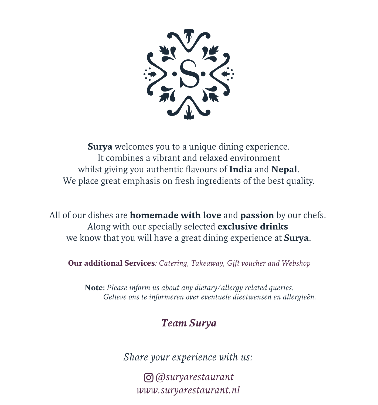

**Surya** welcomes you to a unique dining experience. It combines a vibrant and relaxed environment whilst giving you authentic flavours of **India** and **Nepal**. We place great emphasis on fresh ingredients of the best quality.

All of our dishes are **homemade with love** and **passion** by our chefs. Along with our specially selected **exclusive drinks** we know that you will have a great dining experience at **Surya**.

**Our additional Services***: Catering, Takeaway, Gift voucher and Webshop*

**Note:** *Please inform us about any dietary/allergy related queries. Gelieve ons te informeren over eventuele dieetwensen en allergieën.*

#### *Team Surya*

*Share your experience with us:*

*www.suryarestaurant.nl @suryarestaurant*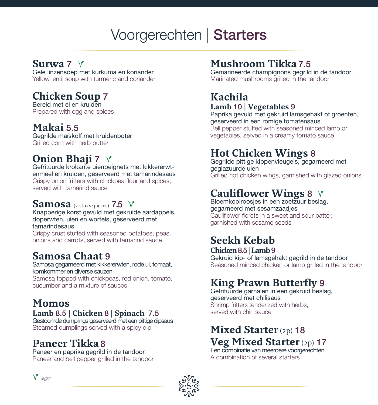# Voorgerechten | Starters

#### **Surwa** 7

Gele linzensoep met kurkuma en koriander Yellow lentil soup with turmeric and coriander

## **Chicken Soup** 7

Bereid met ei en kruiden Prepared with egg and spices

#### **Makai** 5.5

Gegrilde maïskolf met kruidenboter Grilled corn with herb butter

## **Onion Bhaji** 7  $\forall$

Gefrituurde krokante uienbeignets met kikkererwtenmeel en kruiden, geserveerd met tamarindesaus Crispy onion fritters with chickpea flour and spices, served with tamarind sauce

#### **Samosa**  $(2 \text{ stuks/pieces})$  7.5  $\sqrt{ }$

Knapperige korst gevuld met gekruide aardappels, doperwten, uien en wortels, geserveerd met tamarindesaus

Crispy crust stuffed with seasoned potatoes, peas, onions and carrots, served with tamarind sauce

## **Samosa Chaat** 9

Samosa gegarneerd met kikkererwten, rode ui, tomaat, komkommer en diverse sauzen

Samosa topped with chickpeas, red onion, tomato, cucumber and a mixture of sauces

## **Momos**

#### **Lamb** 8.5 **| Chicken** 8 **| Spinach** 7.5

Gestoomde dumplings geserveerd met een pittige dipsaus Steamed dumplings served with a spicy dip

## **Paneer Tikka** 8

Paneer en paprika gegrild in de tandoor Paneer and bell pepper grilled in the tandoor

## **Mushroom Tikka** 7.5

Gemarineerde champignons gegrild in de tandoor Marinated mushrooms grilled in the tandoor

#### **Kachila Lamb** 10 **| Vegetables** 9

Paprika gevuld met gekruid lamsgehakt of groenten, geserveerd in een romige tomatensaus Bell pepper stuffed with seasoned minced lamb or vegetables, served in a creamy tomato sauce

#### **Hot Chicken Wings** 8

Gegrilde pittige kippenvleugels, gegarneerd met geglazuurde uien Grilled hot chicken wings, garnished with glazed onions

## **Cauliflower Wings** 8

Bloemkoolroosjes in een zoetzuur beslag, gegarneerd met sesamzaadjes Cauliflower florets in a sweet and sour batter, garnished with sesame seeds

#### **Seekh Kebab Chicken** 8.5 **| Lamb** 9

Gekruid kip- of lamsgehakt gegrild in de tandoor Seasoned minced chicken or lamb grilled in the tandoor

## **King Prawn Butterfly** 9

Gefrituurde garnalen in een gekruid beslag, geserveerd met chilisaus Shrimp fritters tenderized with herbs, served with chilli sauce

#### **Mixed Starter** (2p) 18 **Veg Mixed Starter** (2p) 17

Een combinatie van meerdere voorgerechten A combination of several starters



*Vegan*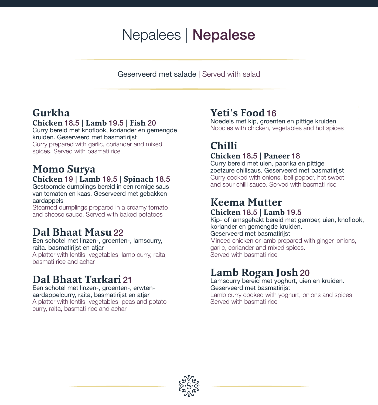# Nepalees | Nepalese

Geserveerd met salade | Served with salad

## **Gurkha**

#### **Chicken** 18.5 **| Lamb** 19.5 **| Fish** 20

Curry bereid met knoflook, koriander en gemengde kruiden. Geserveerd met basmatirijst Curry prepared with garlic, coriander and mixed

spices. Served with basmati rice

#### **Momo Surya Chicken** 19 **| Lamb** 19.5 **| Spinach** 18.5

Gestoomde dumplings bereid in een romige saus van tomaten en kaas. Geserveerd met gebakken aardappels

Steamed dumplings prepared in a creamy tomato and cheese sauce. Served with baked potatoes

#### **Dal Bhaat Masu**22

Een schotel met linzen-, groenten-, lamscurry, raita. basmatirijst en atjar A platter with lentils, vegetables, lamb curry, raita, basmati rice and achar

#### **Dal Bhaat Tarkari** 21

Een schotel met linzen-, groenten-, erwtenaardappelcurry, raita, basmatirijst en atjar A platter with lentils, vegetables, peas and potato curry, raita, basmati rice and achar

#### **Yeti's Food**16

Noedels met kip, groenten en pittige kruiden Noodles with chicken, vegetables and hot spices

#### **Chilli Chicken** 18.5 **| Paneer** 18

Curry bereid met uien, paprika en pittige zoetzure chilisaus. Geserveerd met basmatirijst Curry cooked with onions, bell pepper, hot sweet and sour chilli sauce. Served with basmati rice

# **Keema Mutter**

#### **Chicken** 18.5 **| Lamb** 19.5

Kip- of lamsgehakt bereid met gember, uien, knoflook, koriander en gemengde kruiden. Geserveerd met basmatirijst Minced chicken or lamb prepared with ginger, onions, garlic, coriander and mixed spices. Served with basmati rice

#### **Lamb Rogan Josh**20

Lamscurry bereid met yoghurt, uien en kruiden. Geserveerd met basmatirijst Lamb curry cooked with yoghurt, onions and spices. Served with basmati rice

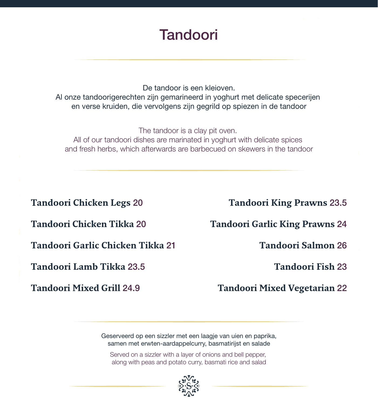# Tandoori

De tandoor is een kleioven. Al onze tandoorigerechten zijn gemarineerd in yoghurt met delicate specerijen en verse kruiden, die vervolgens zijn gegrild op spiezen in de tandoor

The tandoor is a clay pit oven. All of our tandoori dishes are marinated in yoghurt with delicate spices and fresh herbs, which afterwards are barbecued on skewers in the tandoor

**Tandoori Chicken Legs** 20 **Tandoori Chicken Tikka** 20 **Tandoori Garlic Chicken Tikka** 21 **Tandoori Lamb Tikka** 23.5

**Tandoori Mixed Grill** 24.9

**Tandoori King Prawns** 23.5

**Tandoori Garlic King Prawns** 24

**Tandoori Salmon** 26

**Tandoori Fish** 23

**Tandoori Mixed Vegetarian** 22

Geserveerd op een sizzler met een laagje van uien en paprika, samen met erwten-aardappelcurry, basmatirijst en salade

Served on a sizzler with a layer of onions and bell pepper, along with peas and potato curry, basmati rice and salad

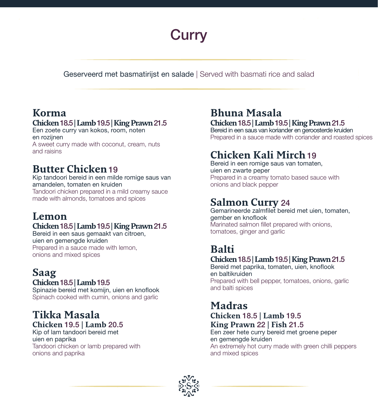# **Curry**

Geserveerd met basmatirijst en salade | Served with basmati rice and salad

## **Korma**

#### **Chicken** 18.5 **| Lamb** 19.5 **| King Prawn** 21.5

Een zoete curry van kokos, room, noten en rozijnen A sweet curry made with coconut, cream, nuts and raisins

#### **Butter Chicken**19

Kip tandoori bereid in een milde romige saus van amandelen, tomaten en kruiden Tandoori chicken prepared in a mild creamy sauce made with almonds, tomatoes and spices

## **Lemon**

#### **Chicken** 18.5 **| Lamb** 19.5 **| King Prawn** 21.5

Bereid in een saus gemaakt van citroen, uien en gemengde kruiden Prepared in a sauce made with lemon, onions and mixed spices

#### **Saag Chicken** 18.5 **| Lamb** 19.5

Spinazie bereid met komijn, uien en knoflook Spinach cooked with cumin, onions and garlic

# **Tikka Masala**

#### **Chicken** 19.5 **| Lamb** 20.5

Kip of lam tandoori bereid met uien en paprika Tandoori chicken or lamb prepared with onions and paprika

#### **Bhuna Masala Chicken** 18.5 **| Lamb** 19.5 **| King Prawn** 21.5

Bereid in een saus van koriander en geroosterde kruiden Prepared in a sauce made with coriander and roasted spices

## **Chicken Kali Mirch**19

Bereid in een romige saus van tomaten, uien en zwarte peper Prepared in a creamy tomato based sauce with onions and black pepper

#### **Salmon Curry** 24

Gemarineerde zalmfilet bereid met uien, tomaten, gember en knoflook Marinated salmon fillet prepared with onions, tomatoes, ginger and garlic

## **Balti**

#### **Chicken** 18.5 **| Lamb** 19.5 **| King Prawn** 21.5

Bereid met paprika, tomaten, uien, knoflook en baltikruiden Prepared with bell pepper, tomatoes, onions, garlic and balti spices

#### **Madras**

**Chicken** 18.5 **| Lamb** 19.5 **King Prawn** 22 **| Fish** 21.5

Een zeer hete curry bereid met groene peper en gemengde kruiden An extremely hot curry made with green chilli peppers and mixed spices

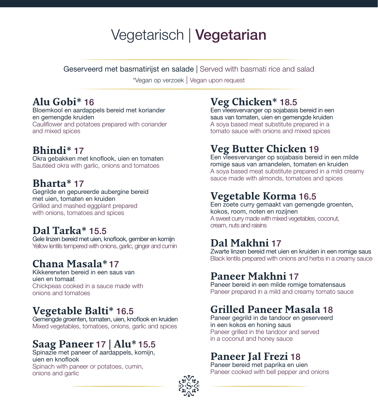# Vegetarisch | Vegetarian

Geserveerd met basmatirijst en salade | Served with basmati rice and salad

\*Vegan op verzoek | Vegan upon request

#### **Alu Gobi\*** 16

Bloemkool en aardappels bereid met koriander en gemengde kruiden Cauliflower and potatoes prepared with coriander and mixed spices

## **Bhindi\*** 17

Okra gebakken met knoflook, uien en tomaten Sautéed okra with garlic, onions and tomatoes

#### **Bharta\*** 17

Gegrilde en gepureerde aubergine bereid met uien, tomaten en kruiden Grilled and mashed eggplant prepared with onions, tomatoes and spices

#### **Dal Tarka\*** 15.5

Gele linzen bereid met uien, knoflook, gember en komijn Yellow lentils tempered with onions, garlic, ginger and cumin

## **Chana Masala\*** 17

Kikkererwten bereid in een saus van uien en tomaat Chickpeas cooked in a sauce made with onions and tomatoes

#### **Vegetable Balti\*** 16.5

Gemengde groenten, tomaten, uien, knoflook en kruiden Mixed vegetables, tomatoes, onions, garlic and spices

## **Saag Paneer** 17 **| Alu\*** 15.5

Spinazie met paneer of aardappels, komijn, uien en knoflook Spinach with paneer or potatoes, cumin, onions and garlic

#### **Veg Chicken\*** 18.5

Een vleesvervanger op sojabasis bereid in een saus van tomaten, uien en gemengde kruiden A soya based meat substitute prepared in a tomato sauce with onions and mixed spices

## **Veg Butter Chicken** 19

Een vleesvervanger op sojabasis bereid in een milde romige saus van amandelen, tomaten en kruiden A soya based meat substitute prepared in a mild creamy sauce made with almonds, tomatoes and spices

#### **Vegetable Korma** 16.5

Een zoete curry gemaakt van gemengde groenten, kokos, room, noten en rozijnen A sweet curry made with mixed vegetables, coconut, cream, nuts and raisins

#### **Dal Makhni** 17

Zwarte linzen bereid met uien en kruiden in een romige saus Black lentils prepared with onions and herbs in a creamy sauce

#### **Paneer Makhni** 17

Paneer bereid in een milde romige tomatensaus Paneer prepared in a mild and creamy tomato sauce

#### **Grilled Paneer Masala** 18

Paneer gegrild in de tandoor en geserveerd in een kokos en honing saus Paneer grilled in the tandoor and served in a coconut and honey sauce

#### **Paneer Jal Frezi** 18

Paneer bereid met paprika en uien Paneer cooked with bell pepper and onions

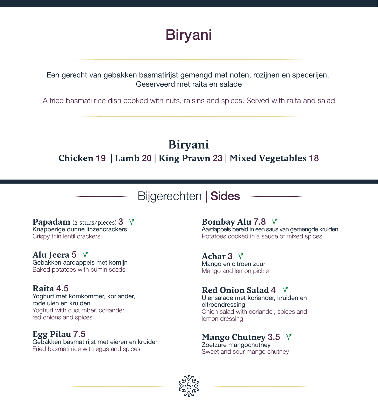

Een gerecht van gebakken basmatirijst gemengd met noten, rozijnen en specerijen. Geserveerd met raita en salade

A fried basmati rice dish cooked with nuts, raisins and spices. Served with raita and salad

#### **Biryani Chicken** 19 **| Lamb** 20 **| King Prawn** 23 **| Mixed Vegetables** 18

## Bijgerechten | Sides

**Papadam** (2 stuks/pieces) 3 Knapperige dunne linzencrackers Crispy thin lentil crackers

**Alu Jeera** 5 Gebakken aardappels met komijn Baked potatoes with cumin seeds

#### **Raita** 4.5

Yoghurt met komkommer, koriander, rode uien en kruiden Yoghurt with cucumber, coriander, red onions and spices

#### **Egg Pilau** 7.5

Gebakken basmatirijst met eieren en kruiden Fried basmati rice with eggs and spices

**Bombay Alu** 7.8

Aardappels bereid in een saus van gemengde kruiden Potatoes cooked in a sauce of mixed spices

**Achar** 3 Mango en citroen zuur

Mango and lemon pickle

#### **Red Onion Salad** 4

Uiensalade met koriander, kruiden en citroendressing Onion salad with coriander, spices and lemon dressing

#### **Mango Chutney** 3.5

Zoetzure mangochutney Sweet and sour mango chutney